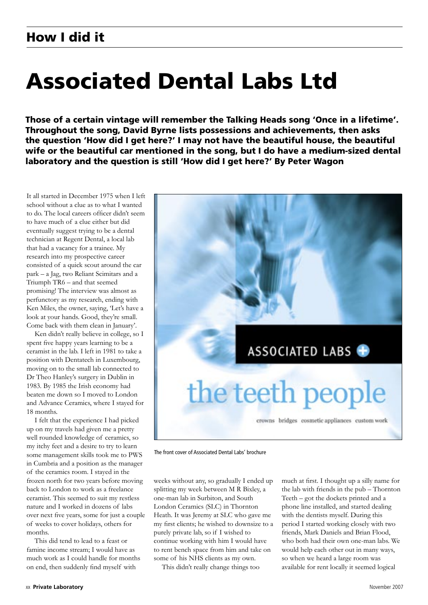# Associated Dental Labs Ltd

Those of a certain vintage will remember the Talking Heads song 'Once in a lifetime'. Throughout the song, David Byrne lists possessions and achievements, then asks the question 'How did I get here?' I may not have the beautiful house, the beautiful wife or the beautiful car mentioned in the song, but I do have a medium-sized dental laboratory and the question is still 'How did I get here?' By Peter Wagon

It all started in December 1975 when I left school without a clue as to what I wanted to do. The local careers officer didn't seem to have much of a clue either but did eventually suggest trying to be a dental technician at Regent Dental, a local lab that had a vacancy for a trainee. My research into my prospective career consisted of a quick scout around the car park – a Jag, two Reliant Scimitars and a Triumph TR6 – and that seemed promising! The interview was almost as perfunctory as my research, ending with Ken Miles, the owner, saying, 'Let's have a look at your hands. Good, they're small. Come back with them clean in January'.

Ken didn't really believe in college, so I spent five happy years learning to be a ceramist in the lab. I left in 1981 to take a position with Dentatech in Luxembourg, moving on to the small lab connected to Dr Theo Hanley's surgery in Dublin in 1983. By 1985 the Irish economy had beaten me down so I moved to London and Advance Ceramics, where I stayed for 18 months.

I felt that the experience I had picked up on my travels had given me a pretty well rounded knowledge of ceramics, so my itchy feet and a desire to try to learn some management skills took me to PWS in Cumbria and a position as the manager of the ceramics room. I stayed in the frozen north for two years before moving back to London to work as a freelance ceramist. This seemed to suit my restless nature and I worked in dozens of labs over next five years, some for just a couple of weeks to cover holidays, others for months.

This did tend to lead to a feast or famine income stream; I would have as much work as I could handle for months on end, then suddenly find myself with



The front cover of Associated Dental Labs' brochure

weeks without any, so gradually I ended up splitting my week between M R Bixley, a one-man lab in Surbiton, and South London Ceramics (SLC) in Thornton Heath. It was Jeremy at SLC who gave me my first clients; he wished to downsize to a purely private lab, so if I wished to continue working with him I would have to rent bench space from him and take on some of his NHS clients as my own.

This didn't really change things too

much at first. I thought up a silly name for the lab with friends in the pub – Thornton Teeth – got the dockets printed and a phone line installed, and started dealing with the dentists myself. During this period I started working closely with two friends, Mark Daniels and Brian Flood, who both had their own one-man labs. We would help each other out in many ways, so when we heard a large room was available for rent locally it seemed logical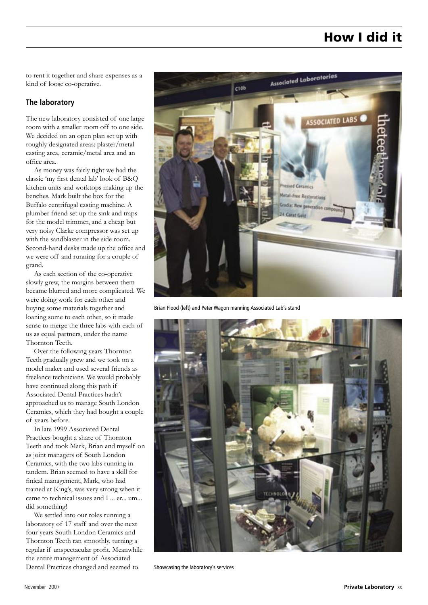### How I did it

to rent it together and share expenses as a kind of loose co-operative.

#### **The laboratory**

The new laboratory consisted of one large room with a smaller room off to one side. We decided on an open plan set up with roughly designated areas: plaster/metal casting area, ceramic/metal area and an office area.

As money was fairly tight we had the classic 'my first dental lab' look of B&Q kitchen units and worktops making up the benches. Mark built the box for the Buffalo centrifugal casting machine. A plumber friend set up the sink and traps for the model trimmer, and a cheap but very noisy Clarke compressor was set up with the sandblaster in the side room. Second-hand desks made up the office and we were off and running for a couple of grand.

As each section of the co-operative slowly grew, the margins between them became blurred and more complicated. We were doing work for each other and buying some materials together and loaning some to each other, so it made sense to merge the three labs with each of us as equal partners, under the name Thornton Teeth.

Over the following years Thornton Teeth gradually grew and we took on a model maker and used several friends as freelance technicians. We would probably have continued along this path if Associated Dental Practices hadn't approached us to manage South London Ceramics, which they had bought a couple of years before.

In late 1999 Associated Dental Practices bought a share of Thornton Teeth and took Mark, Brian and myself on as joint managers of South London Ceramics, with the two labs running in tandem. Brian seemed to have a skill for finical management, Mark, who had trained at King's, was very strong when it came to technical issues and I ... er... um... did something!

We settled into our roles running a laboratory of 17 staff and over the next four years South London Ceramics and Thornton Teeth ran smoothly, turning a regular if unspectacular profit. Meanwhile the entire management of Associated Dental Practices changed and seemed to



Brian Flood (left) and Peter Wagon manning Associated Lab's stand



Showcasing the laboratory's services